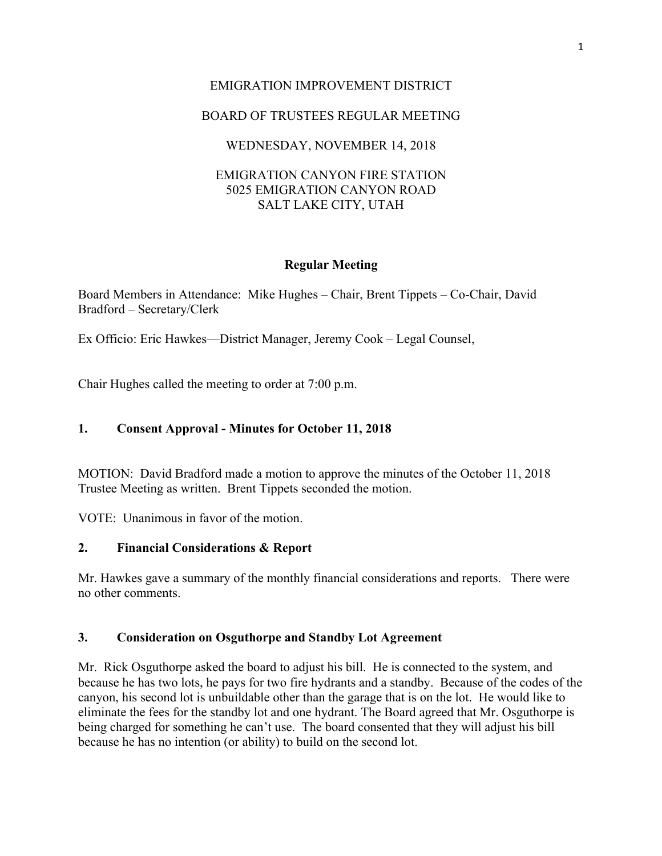# EMIGRATION IMPROVEMENT DISTRICT

# BOARD OF TRUSTEES REGULAR MEETING

# WEDNESDAY, NOVEMBER 14, 2018

## EMIGRATION CANYON FIRE STATION 5025 EMIGRATION CANYON ROAD SALT LAKE CITY, UTAH

## **Regular Meeting**

Board Members in Attendance: Mike Hughes – Chair, Brent Tippets – Co-Chair, David Bradford – Secretary/Clerk

Ex Officio: Eric Hawkes—District Manager, Jeremy Cook – Legal Counsel,

Chair Hughes called the meeting to order at 7:00 p.m.

## **1. Consent Approval - Minutes for October 11, 2018**

MOTION: David Bradford made a motion to approve the minutes of the October 11, 2018 Trustee Meeting as written. Brent Tippets seconded the motion.

VOTE: Unanimous in favor of the motion.

## **2. Financial Considerations & Report**

Mr. Hawkes gave a summary of the monthly financial considerations and reports. There were no other comments.

## **3. Consideration on Osguthorpe and Standby Lot Agreement**

Mr. Rick Osguthorpe asked the board to adjust his bill. He is connected to the system, and because he has two lots, he pays for two fire hydrants and a standby. Because of the codes of the canyon, his second lot is unbuildable other than the garage that is on the lot. He would like to eliminate the fees for the standby lot and one hydrant. The Board agreed that Mr. Osguthorpe is being charged for something he can't use. The board consented that they will adjust his bill because he has no intention (or ability) to build on the second lot.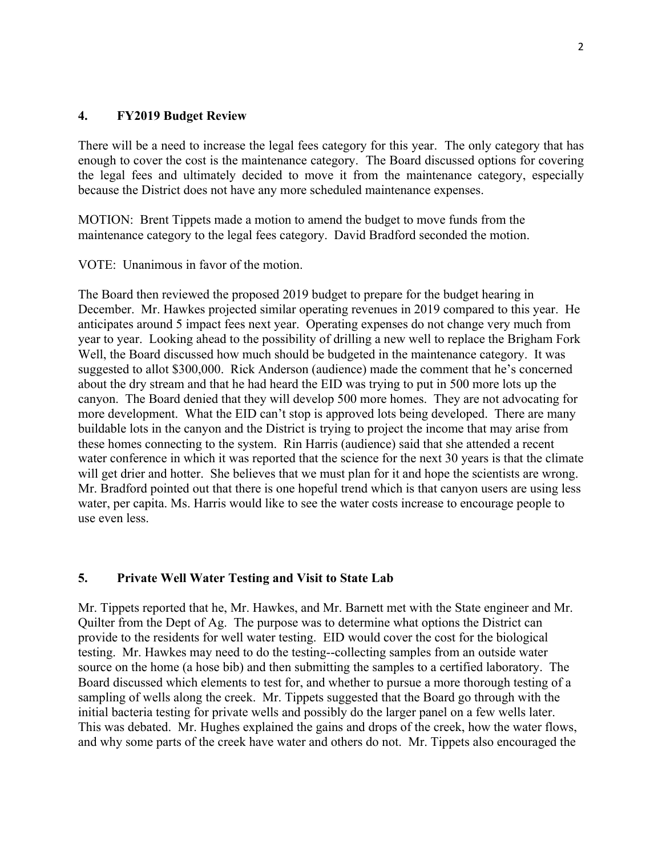## **4. FY2019 Budget Review**

There will be a need to increase the legal fees category for this year. The only category that has enough to cover the cost is the maintenance category. The Board discussed options for covering the legal fees and ultimately decided to move it from the maintenance category, especially because the District does not have any more scheduled maintenance expenses.

MOTION: Brent Tippets made a motion to amend the budget to move funds from the maintenance category to the legal fees category. David Bradford seconded the motion.

VOTE: Unanimous in favor of the motion.

The Board then reviewed the proposed 2019 budget to prepare for the budget hearing in December. Mr. Hawkes projected similar operating revenues in 2019 compared to this year. He anticipates around 5 impact fees next year. Operating expenses do not change very much from year to year. Looking ahead to the possibility of drilling a new well to replace the Brigham Fork Well, the Board discussed how much should be budgeted in the maintenance category. It was suggested to allot \$300,000. Rick Anderson (audience) made the comment that he's concerned about the dry stream and that he had heard the EID was trying to put in 500 more lots up the canyon. The Board denied that they will develop 500 more homes. They are not advocating for more development. What the EID can't stop is approved lots being developed. There are many buildable lots in the canyon and the District is trying to project the income that may arise from these homes connecting to the system. Rin Harris (audience) said that she attended a recent water conference in which it was reported that the science for the next 30 years is that the climate will get drier and hotter. She believes that we must plan for it and hope the scientists are wrong. Mr. Bradford pointed out that there is one hopeful trend which is that canyon users are using less water, per capita. Ms. Harris would like to see the water costs increase to encourage people to use even less.

#### **5. Private Well Water Testing and Visit to State Lab**

Mr. Tippets reported that he, Mr. Hawkes, and Mr. Barnett met with the State engineer and Mr. Quilter from the Dept of Ag. The purpose was to determine what options the District can provide to the residents for well water testing. EID would cover the cost for the biological testing. Mr. Hawkes may need to do the testing--collecting samples from an outside water source on the home (a hose bib) and then submitting the samples to a certified laboratory. The Board discussed which elements to test for, and whether to pursue a more thorough testing of a sampling of wells along the creek. Mr. Tippets suggested that the Board go through with the initial bacteria testing for private wells and possibly do the larger panel on a few wells later. This was debated. Mr. Hughes explained the gains and drops of the creek, how the water flows, and why some parts of the creek have water and others do not. Mr. Tippets also encouraged the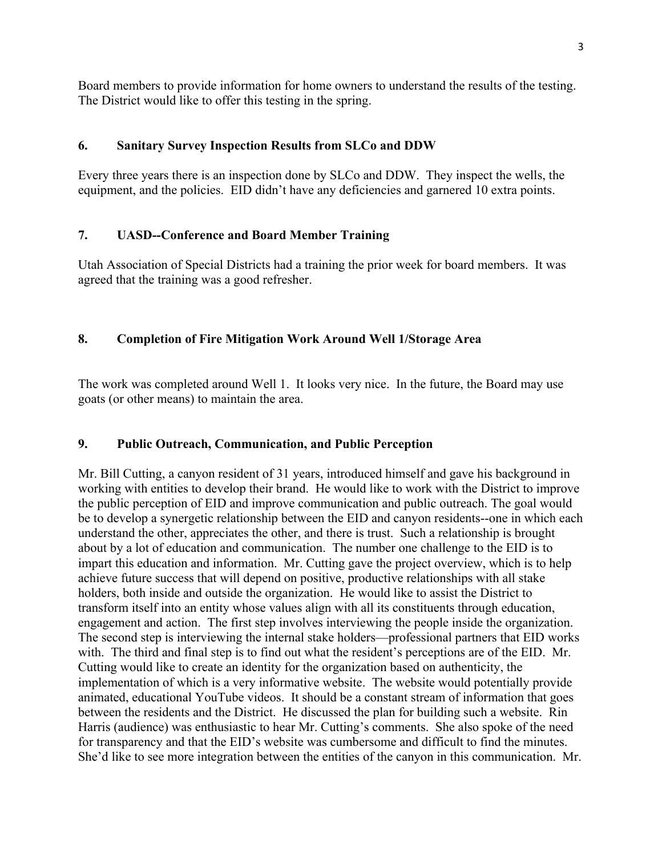Board members to provide information for home owners to understand the results of the testing. The District would like to offer this testing in the spring.

# **6. Sanitary Survey Inspection Results from SLCo and DDW**

Every three years there is an inspection done by SLCo and DDW. They inspect the wells, the equipment, and the policies. EID didn't have any deficiencies and garnered 10 extra points.

# **7. UASD--Conference and Board Member Training**

Utah Association of Special Districts had a training the prior week for board members. It was agreed that the training was a good refresher.

# **8. Completion of Fire Mitigation Work Around Well 1/Storage Area**

The work was completed around Well 1. It looks very nice. In the future, the Board may use goats (or other means) to maintain the area.

## **9. Public Outreach, Communication, and Public Perception**

Mr. Bill Cutting, a canyon resident of 31 years, introduced himself and gave his background in working with entities to develop their brand. He would like to work with the District to improve the public perception of EID and improve communication and public outreach. The goal would be to develop a synergetic relationship between the EID and canyon residents--one in which each understand the other, appreciates the other, and there is trust. Such a relationship is brought about by a lot of education and communication. The number one challenge to the EID is to impart this education and information. Mr. Cutting gave the project overview, which is to help achieve future success that will depend on positive, productive relationships with all stake holders, both inside and outside the organization. He would like to assist the District to transform itself into an entity whose values align with all its constituents through education, engagement and action. The first step involves interviewing the people inside the organization. The second step is interviewing the internal stake holders—professional partners that EID works with. The third and final step is to find out what the resident's perceptions are of the EID. Mr. Cutting would like to create an identity for the organization based on authenticity, the implementation of which is a very informative website. The website would potentially provide animated, educational YouTube videos. It should be a constant stream of information that goes between the residents and the District. He discussed the plan for building such a website. Rin Harris (audience) was enthusiastic to hear Mr. Cutting's comments. She also spoke of the need for transparency and that the EID's website was cumbersome and difficult to find the minutes. She'd like to see more integration between the entities of the canyon in this communication. Mr.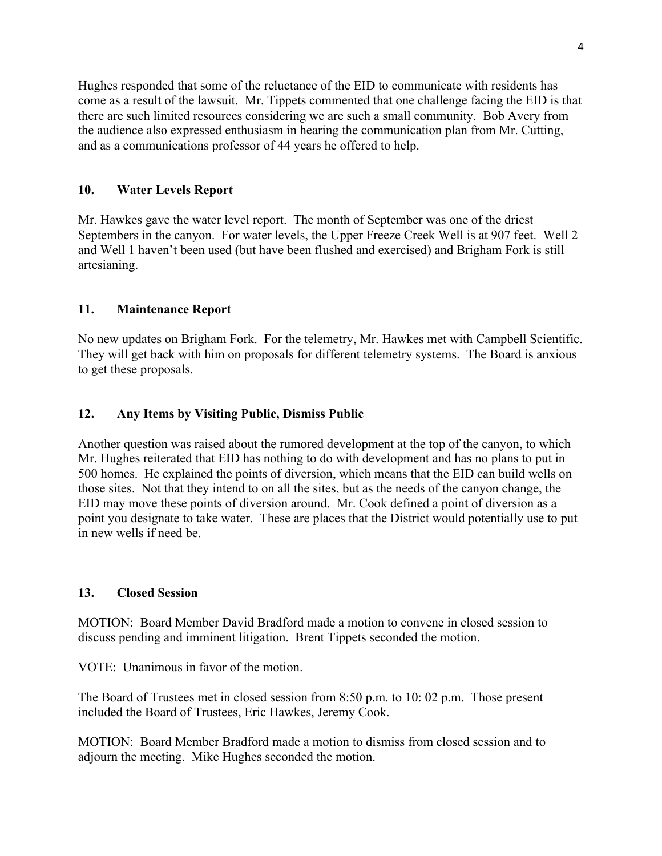Hughes responded that some of the reluctance of the EID to communicate with residents has come as a result of the lawsuit. Mr. Tippets commented that one challenge facing the EID is that there are such limited resources considering we are such a small community. Bob Avery from the audience also expressed enthusiasm in hearing the communication plan from Mr. Cutting, and as a communications professor of 44 years he offered to help.

## **10. Water Levels Report**

Mr. Hawkes gave the water level report. The month of September was one of the driest Septembers in the canyon. For water levels, the Upper Freeze Creek Well is at 907 feet. Well 2 and Well 1 haven't been used (but have been flushed and exercised) and Brigham Fork is still artesianing.

## **11. Maintenance Report**

No new updates on Brigham Fork. For the telemetry, Mr. Hawkes met with Campbell Scientific. They will get back with him on proposals for different telemetry systems. The Board is anxious to get these proposals.

## **12. Any Items by Visiting Public, Dismiss Public**

Another question was raised about the rumored development at the top of the canyon, to which Mr. Hughes reiterated that EID has nothing to do with development and has no plans to put in 500 homes. He explained the points of diversion, which means that the EID can build wells on those sites. Not that they intend to on all the sites, but as the needs of the canyon change, the EID may move these points of diversion around. Mr. Cook defined a point of diversion as a point you designate to take water. These are places that the District would potentially use to put in new wells if need be.

## **13. Closed Session**

MOTION: Board Member David Bradford made a motion to convene in closed session to discuss pending and imminent litigation. Brent Tippets seconded the motion.

VOTE: Unanimous in favor of the motion.

The Board of Trustees met in closed session from 8:50 p.m. to 10: 02 p.m. Those present included the Board of Trustees, Eric Hawkes, Jeremy Cook.

MOTION: Board Member Bradford made a motion to dismiss from closed session and to adjourn the meeting. Mike Hughes seconded the motion.